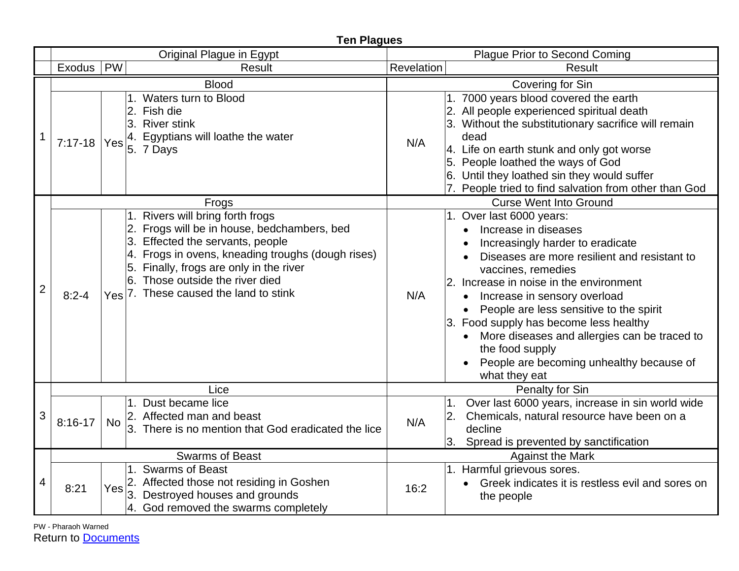|                | <b>Ten Plagues</b>     |            |                                                                                                                                                                                                                                                                                          |                               |                                                                                                                                                                                                                                                                                                                                                                                                                                                                                      |  |  |  |
|----------------|------------------------|------------|------------------------------------------------------------------------------------------------------------------------------------------------------------------------------------------------------------------------------------------------------------------------------------------|-------------------------------|--------------------------------------------------------------------------------------------------------------------------------------------------------------------------------------------------------------------------------------------------------------------------------------------------------------------------------------------------------------------------------------------------------------------------------------------------------------------------------------|--|--|--|
|                |                        |            | Original Plague in Egypt                                                                                                                                                                                                                                                                 |                               | <b>Plague Prior to Second Coming</b>                                                                                                                                                                                                                                                                                                                                                                                                                                                 |  |  |  |
|                | Exodus   PW            |            | Result                                                                                                                                                                                                                                                                                   | Revelation                    | Result                                                                                                                                                                                                                                                                                                                                                                                                                                                                               |  |  |  |
|                | <b>Blood</b>           |            |                                                                                                                                                                                                                                                                                          | Covering for Sin              |                                                                                                                                                                                                                                                                                                                                                                                                                                                                                      |  |  |  |
| $\mathbf 1$    | $7:17-18$              | Yes        | Waters turn to Blood<br>2. Fish die<br>3. River stink<br>4. Egyptians will loathe the water<br>$5.7$ Days                                                                                                                                                                                | N/A                           | 1. 7000 years blood covered the earth<br>2. All people experienced spiritual death<br>3. Without the substitutionary sacrifice will remain<br>dead<br>4. Life on earth stunk and only got worse<br>5. People loathed the ways of God<br>6. Until they loathed sin they would suffer<br>7. People tried to find salvation from other than God                                                                                                                                         |  |  |  |
|                |                        |            | Frogs                                                                                                                                                                                                                                                                                    | <b>Curse Went Into Ground</b> |                                                                                                                                                                                                                                                                                                                                                                                                                                                                                      |  |  |  |
| $\overline{2}$ | $8:2 - 4$              | <b>Yes</b> | 1. Rivers will bring forth frogs<br>2. Frogs will be in house, bedchambers, bed<br>3. Effected the servants, people<br>4. Frogs in ovens, kneading troughs (dough rises)<br>5. Finally, frogs are only in the river<br>Those outside the river died<br>7. These caused the land to stink | N/A                           | 1. Over last 6000 years:<br>Increase in diseases<br>Increasingly harder to eradicate<br>Diseases are more resilient and resistant to<br>vaccines, remedies<br>2. Increase in noise in the environment<br>Increase in sensory overload<br>$\bullet$<br>People are less sensitive to the spirit<br>3. Food supply has become less healthy<br>More diseases and allergies can be traced to<br>$\bullet$<br>the food supply<br>People are becoming unhealthy because of<br>what they eat |  |  |  |
|                | Lice                   |            |                                                                                                                                                                                                                                                                                          | Penalty for Sin               |                                                                                                                                                                                                                                                                                                                                                                                                                                                                                      |  |  |  |
| 3              | $8:16-17$              | <b>No</b>  | Dust became lice<br>2. Affected man and beast<br>3. There is no mention that God eradicated the lice                                                                                                                                                                                     | N/A                           | Over last 6000 years, increase in sin world wide<br>1 <sub>1</sub><br>Chemicals, natural resource have been on a<br>2.<br>decline<br>Spread is prevented by sanctification<br>3.                                                                                                                                                                                                                                                                                                     |  |  |  |
|                | <b>Swarms of Beast</b> |            |                                                                                                                                                                                                                                                                                          | <b>Against the Mark</b>       |                                                                                                                                                                                                                                                                                                                                                                                                                                                                                      |  |  |  |
| 4              | 8:21                   | Yes        | 1. Swarms of Beast<br>2. Affected those not residing in Goshen<br>Destroyed houses and grounds<br>4. God removed the swarms completely                                                                                                                                                   | 16:2                          | 1. Harmful grievous sores.<br>Greek indicates it is restless evil and sores on<br>the people                                                                                                                                                                                                                                                                                                                                                                                         |  |  |  |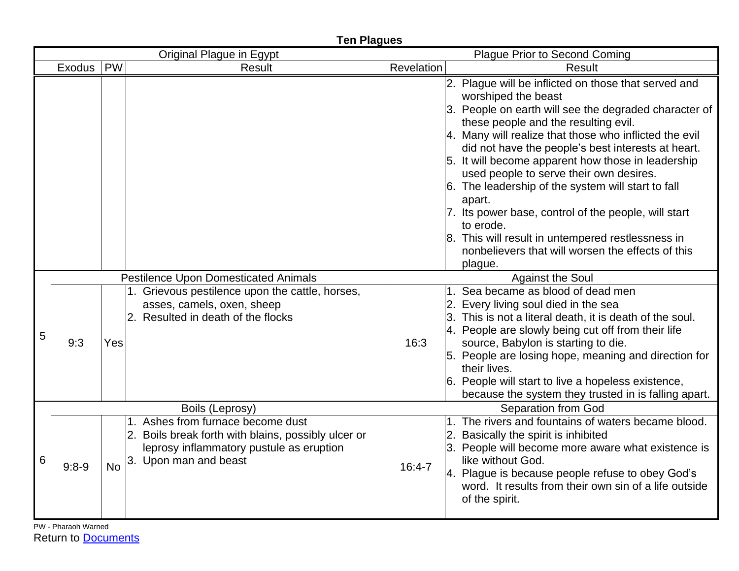|   | <b>Ten Plagues</b>       |           |                                                                                                                                                               |                                      |                                                                                                                                                                                                                                                                                                                                                                                                                                                                                                                                                                                                                                              |  |  |
|---|--------------------------|-----------|---------------------------------------------------------------------------------------------------------------------------------------------------------------|--------------------------------------|----------------------------------------------------------------------------------------------------------------------------------------------------------------------------------------------------------------------------------------------------------------------------------------------------------------------------------------------------------------------------------------------------------------------------------------------------------------------------------------------------------------------------------------------------------------------------------------------------------------------------------------------|--|--|
|   | Original Plague in Egypt |           |                                                                                                                                                               | <b>Plague Prior to Second Coming</b> |                                                                                                                                                                                                                                                                                                                                                                                                                                                                                                                                                                                                                                              |  |  |
|   | Exodus                   | PW        | <b>Result</b>                                                                                                                                                 | Revelation                           | Result                                                                                                                                                                                                                                                                                                                                                                                                                                                                                                                                                                                                                                       |  |  |
|   |                          |           |                                                                                                                                                               |                                      | 2. Plague will be inflicted on those that served and<br>worshiped the beast<br>3. People on earth will see the degraded character of<br>these people and the resulting evil.<br>4. Many will realize that those who inflicted the evil<br>did not have the people's best interests at heart.<br>5. It will become apparent how those in leadership<br>used people to serve their own desires.<br>6. The leadership of the system will start to fall<br>apart.<br>7. Its power base, control of the people, will start<br>to erode.<br>8. This will result in untempered restlessness in<br>nonbelievers that will worsen the effects of this |  |  |
|   |                          |           | <b>Pestilence Upon Domesticated Animals</b>                                                                                                                   |                                      | plague.<br><b>Against the Soul</b>                                                                                                                                                                                                                                                                                                                                                                                                                                                                                                                                                                                                           |  |  |
| 5 | 9:3                      | Yes       | 1. Grievous pestilence upon the cattle, horses,<br>asses, camels, oxen, sheep<br>2. Resulted in death of the flocks                                           | 16:3                                 | 1. Sea became as blood of dead men<br>2. Every living soul died in the sea<br>3. This is not a literal death, it is death of the soul.<br>4. People are slowly being cut off from their life<br>source, Babylon is starting to die.<br>5. People are losing hope, meaning and direction for<br>their lives.<br>6. People will start to live a hopeless existence,<br>because the system they trusted in is falling apart.                                                                                                                                                                                                                    |  |  |
|   | Boils (Leprosy)          |           |                                                                                                                                                               | <b>Separation from God</b>           |                                                                                                                                                                                                                                                                                                                                                                                                                                                                                                                                                                                                                                              |  |  |
| 6 | $9:8-9$                  | <b>No</b> | 1. Ashes from furnace become dust<br>2. Boils break forth with blains, possibly ulcer or<br>leprosy inflammatory pustule as eruption<br>3. Upon man and beast | $16:4 - 7$                           | 1. The rivers and fountains of waters became blood.<br>2. Basically the spirit is inhibited<br>3. People will become more aware what existence is<br>like without God.<br>4. Plague is because people refuse to obey God's<br>word. It results from their own sin of a life outside<br>of the spirit.                                                                                                                                                                                                                                                                                                                                        |  |  |